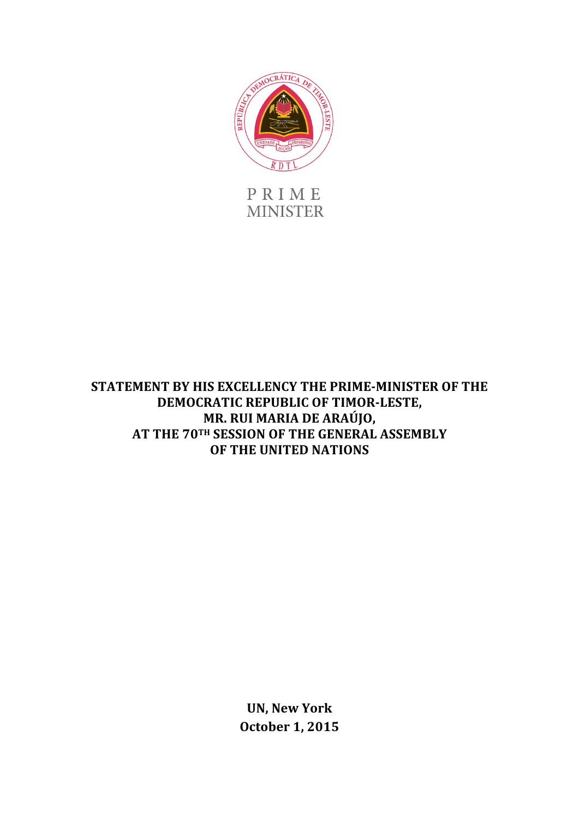

PRIME **MINISTER** 

## **STATEMENT BY HIS EXCELLENCY THE PRIME-MINISTER OF THE DEMOCRATIC REPUBLIC OF TIMOR-LESTE, MR. RUI MARIA DE ARAÚJO,** AT THE 70TH SESSION OF THE GENERAL ASSEMBLY **OF THE UNITED NATIONS**

**UN, New York October 1, 2015**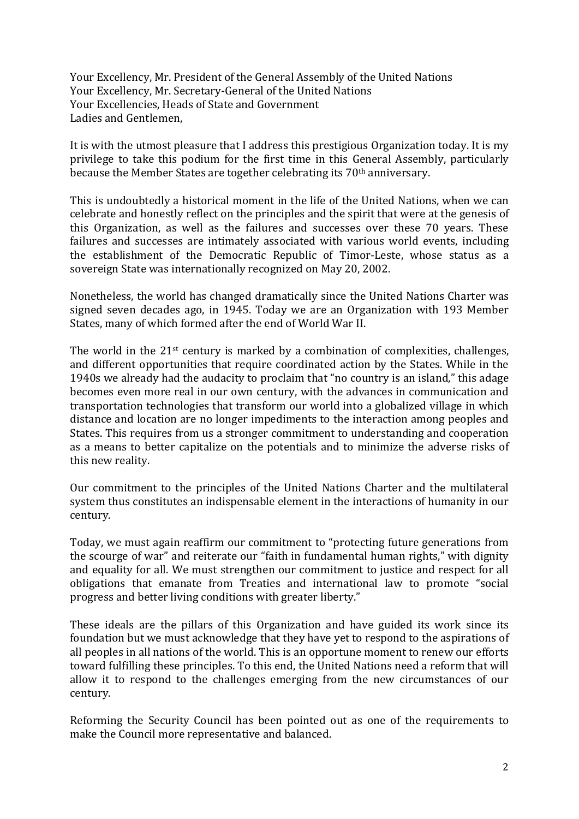Your Excellency, Mr. President of the General Assembly of the United Nations Your Excellency, Mr. Secretary-General of the United Nations Your Excellencies, Heads of State and Government Ladies and Gentlemen.

It is with the utmost pleasure that I address this prestigious Organization today. It is my privilege to take this podium for the first time in this General Assembly, particularly because the Member States are together celebrating its 70<sup>th</sup> anniversary.

This is undoubtedly a historical moment in the life of the United Nations, when we can celebrate and honestly reflect on the principles and the spirit that were at the genesis of this Organization, as well as the failures and successes over these 70 years. These failures and successes are intimately associated with various world events, including the establishment of the Democratic Republic of Timor-Leste, whose status as a sovereign State was internationally recognized on May 20, 2002.

Nonetheless, the world has changed dramatically since the United Nations Charter was signed seven decades ago, in 1945. Today we are an Organization with 193 Member States, many of which formed after the end of World War II.

The world in the  $21^{st}$  century is marked by a combination of complexities, challenges, and different opportunities that require coordinated action by the States. While in the 1940s we already had the audacity to proclaim that "no country is an island," this adage becomes even more real in our own century, with the advances in communication and transportation technologies that transform our world into a globalized village in which distance and location are no longer impediments to the interaction among peoples and States. This requires from us a stronger commitment to understanding and cooperation as a means to better capitalize on the potentials and to minimize the adverse risks of this new reality.

Our commitment to the principles of the United Nations Charter and the multilateral system thus constitutes an indispensable element in the interactions of humanity in our century.

Today, we must again reaffirm our commitment to "protecting future generations from the scourge of war" and reiterate our "faith in fundamental human rights," with dignity and equality for all. We must strengthen our commitment to justice and respect for all obligations that emanate from Treaties and international law to promote "social progress and better living conditions with greater liberty."

These ideals are the pillars of this Organization and have guided its work since its foundation but we must acknowledge that they have yet to respond to the aspirations of all peoples in all nations of the world. This is an opportune moment to renew our efforts toward fulfilling these principles. To this end, the United Nations need a reform that will allow it to respond to the challenges emerging from the new circumstances of our century.

Reforming the Security Council has been pointed out as one of the requirements to make the Council more representative and balanced.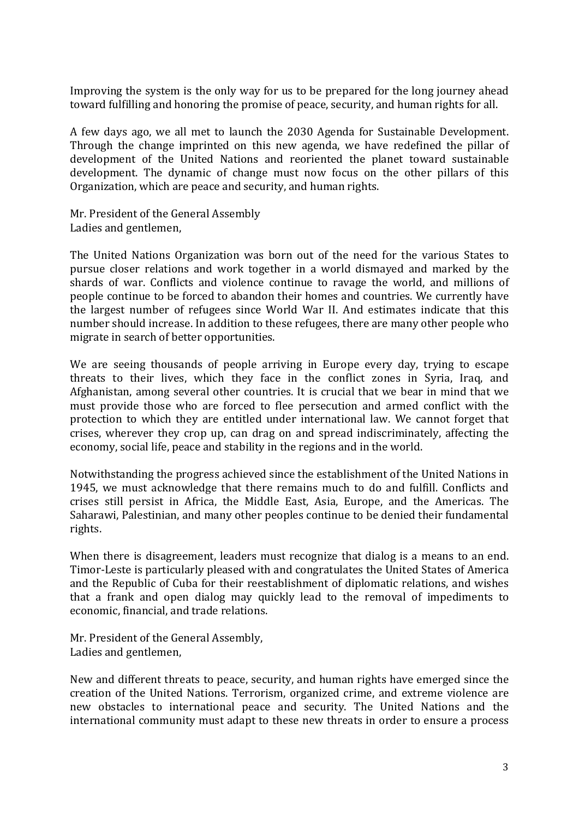Improving the system is the only way for us to be prepared for the long journey ahead toward fulfilling and honoring the promise of peace, security, and human rights for all.

A few days ago, we all met to launch the 2030 Agenda for Sustainable Development. Through the change imprinted on this new agenda, we have redefined the pillar of development of the United Nations and reoriented the planet toward sustainable development. The dynamic of change must now focus on the other pillars of this Organization, which are peace and security, and human rights.

Mr. President of the General Assembly Ladies and gentlemen,

The United Nations Organization was born out of the need for the various States to pursue closer relations and work together in a world dismayed and marked by the shards of war. Conflicts and violence continue to ravage the world, and millions of people continue to be forced to abandon their homes and countries. We currently have the largest number of refugees since World War II. And estimates indicate that this number should increase. In addition to these refugees, there are many other people who migrate in search of better opportunities.

We are seeing thousands of people arriving in Europe every day, trying to escape threats to their lives, which they face in the conflict zones in Syria, Iraq, and Afghanistan, among several other countries. It is crucial that we bear in mind that we must provide those who are forced to flee persecution and armed conflict with the protection to which they are entitled under international law. We cannot forget that crises, wherever they crop up, can drag on and spread indiscriminately, affecting the economy, social life, peace and stability in the regions and in the world.

Notwithstanding the progress achieved since the establishment of the United Nations in 1945, we must acknowledge that there remains much to do and fulfill. Conflicts and crises still persist in Africa, the Middle East, Asia, Europe, and the Americas. The Saharawi, Palestinian, and many other peoples continue to be denied their fundamental rights.

When there is disagreement, leaders must recognize that dialog is a means to an end. Timor-Leste is particularly pleased with and congratulates the United States of America and the Republic of Cuba for their reestablishment of diplomatic relations, and wishes that a frank and open dialog may quickly lead to the removal of impediments to economic, financial, and trade relations.

Mr. President of the General Assembly, Ladies and gentlemen,

New and different threats to peace, security, and human rights have emerged since the creation of the United Nations. Terrorism, organized crime, and extreme violence are new obstacles to international peace and security. The United Nations and the international community must adapt to these new threats in order to ensure a process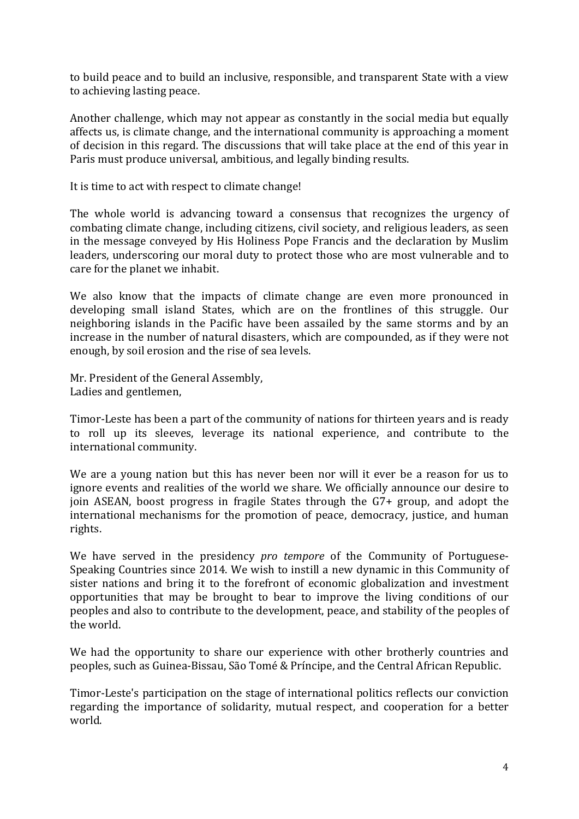to build peace and to build an inclusive, responsible, and transparent State with a view to achieving lasting peace.

Another challenge, which may not appear as constantly in the social media but equally affects us, is climate change, and the international community is approaching a moment of decision in this regard. The discussions that will take place at the end of this year in Paris must produce universal, ambitious, and legally binding results.

It is time to act with respect to climate change!

The whole world is advancing toward a consensus that recognizes the urgency of combating climate change, including citizens, civil society, and religious leaders, as seen in the message conveyed by His Holiness Pope Francis and the declaration by Muslim leaders, underscoring our moral duty to protect those who are most vulnerable and to care for the planet we inhabit.

We also know that the impacts of climate change are even more pronounced in developing small island States, which are on the frontlines of this struggle. Our neighboring islands in the Pacific have been assailed by the same storms and by an increase in the number of natural disasters, which are compounded, as if they were not enough, by soil erosion and the rise of sea levels.

Mr. President of the General Assembly, Ladies and gentlemen,

Timor-Leste has been a part of the community of nations for thirteen years and is ready to roll up its sleeves, leverage its national experience, and contribute to the international community.

We are a voung nation but this has never been nor will it ever be a reason for us to ignore events and realities of the world we share. We officially announce our desire to join ASEAN, boost progress in fragile States through the G7+ group, and adopt the international mechanisms for the promotion of peace, democracy, justice, and human rights. 

We have served in the presidency *pro tempore* of the Community of Portuguese-Speaking Countries since 2014. We wish to instill a new dynamic in this Community of sister nations and bring it to the forefront of economic globalization and investment opportunities that may be brought to bear to improve the living conditions of our peoples and also to contribute to the development, peace, and stability of the peoples of the world.

We had the opportunity to share our experience with other brotherly countries and peoples, such as Guinea-Bissau, São Tomé & Príncipe, and the Central African Republic.

Timor-Leste's participation on the stage of international politics reflects our conviction regarding the importance of solidarity, mutual respect, and cooperation for a better world.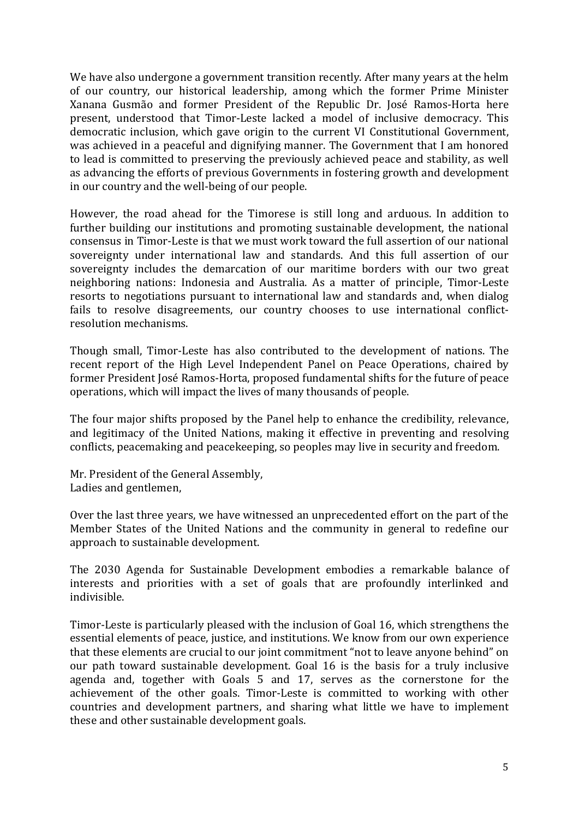We have also undergone a government transition recently. After many years at the helm of our country, our historical leadership, among which the former Prime Minister Xanana Gusmão and former President of the Republic Dr. José Ramos-Horta here present, understood that Timor-Leste lacked a model of inclusive democracy. This democratic inclusion, which gave origin to the current VI Constitutional Government, was achieved in a peaceful and dignifying manner. The Government that I am honored to lead is committed to preserving the previously achieved peace and stability, as well as advancing the efforts of previous Governments in fostering growth and development in our country and the well-being of our people.

However, the road ahead for the Timorese is still long and arduous. In addition to further building our institutions and promoting sustainable development, the national consensus in Timor-Leste is that we must work toward the full assertion of our national sovereignty under international law and standards. And this full assertion of our sovereignty includes the demarcation of our maritime borders with our two great neighboring nations: Indonesia and Australia. As a matter of principle, Timor-Leste resorts to negotiations pursuant to international law and standards and, when dialog fails to resolve disagreements, our country chooses to use international conflictresolution mechanisms.

Though small, Timor-Leste has also contributed to the development of nations. The recent report of the High Level Independent Panel on Peace Operations, chaired by former President José Ramos-Horta, proposed fundamental shifts for the future of peace operations, which will impact the lives of many thousands of people.

The four major shifts proposed by the Panel help to enhance the credibility, relevance, and legitimacy of the United Nations, making it effective in preventing and resolving conflicts, peacemaking and peacekeeping, so peoples may live in security and freedom.

Mr. President of the General Assembly, Ladies and gentlemen,

Over the last three years, we have witnessed an unprecedented effort on the part of the Member States of the United Nations and the community in general to redefine our approach to sustainable development.

The 2030 Agenda for Sustainable Development embodies a remarkable balance of interests and priorities with a set of goals that are profoundly interlinked and indivisible. 

Timor-Leste is particularly pleased with the inclusion of Goal 16, which strengthens the essential elements of peace, justice, and institutions. We know from our own experience that these elements are crucial to our joint commitment "not to leave anyone behind" on our path toward sustainable development. Goal 16 is the basis for a truly inclusive agenda and, together with Goals 5 and 17, serves as the cornerstone for the achievement of the other goals. Timor-Leste is committed to working with other countries and development partners, and sharing what little we have to implement these and other sustainable development goals.